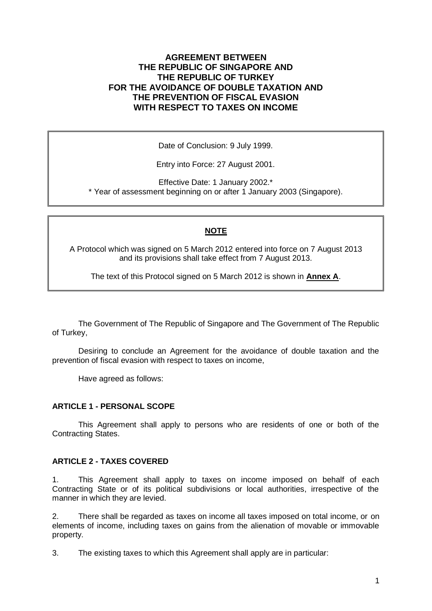#### **AGREEMENT BETWEEN THE REPUBLIC OF SINGAPORE AND THE REPUBLIC OF TURKEY FOR THE AVOIDANCE OF DOUBLE TAXATION AND THE PREVENTION OF FISCAL EVASION WITH RESPECT TO TAXES ON INCOME**

Date of Conclusion: 9 July 1999.

Entry into Force: 27 August 2001.

Effective Date: 1 January 2002.\* \* Year of assessment beginning on or after 1 January 2003 (Singapore).

#### **NOTE**

A Protocol which was signed on 5 March 2012 entered into force on 7 August 2013 and its provisions shall take effect from 7 August 2013.

The text of this Protocol signed on 5 March 2012 is shown in **Annex A**.

The Government of The Republic of Singapore and The Government of The Republic of Turkey,

Desiring to conclude an Agreement for the avoidance of double taxation and the prevention of fiscal evasion with respect to taxes on income,

Have agreed as follows:

#### **ARTICLE 1 - PERSONAL SCOPE**

This Agreement shall apply to persons who are residents of one or both of the Contracting States.

#### **ARTICLE 2 - TAXES COVERED**

1. This Agreement shall apply to taxes on income imposed on behalf of each Contracting State or of its political subdivisions or local authorities, irrespective of the manner in which they are levied.

2. There shall be regarded as taxes on income all taxes imposed on total income, or on elements of income, including taxes on gains from the alienation of movable or immovable property.

3. The existing taxes to which this Agreement shall apply are in particular: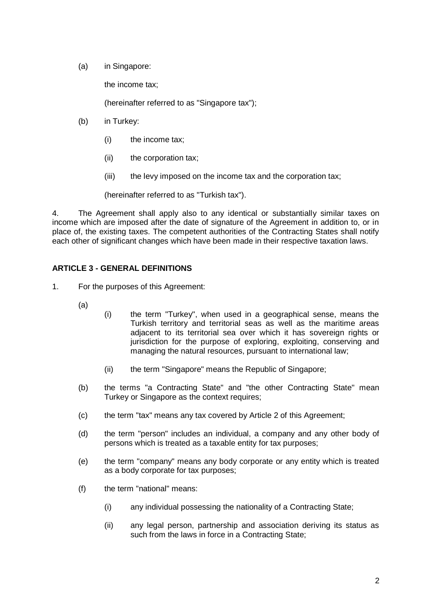(a) in Singapore:

the income tax;

(hereinafter referred to as "Singapore tax");

- (b) in Turkey:
	- (i) the income tax;
	- (ii) the corporation tax;
	- (iii) the levy imposed on the income tax and the corporation tax;

(hereinafter referred to as "Turkish tax").

4. The Agreement shall apply also to any identical or substantially similar taxes on income which are imposed after the date of signature of the Agreement in addition to, or in place of, the existing taxes. The competent authorities of the Contracting States shall notify each other of significant changes which have been made in their respective taxation laws.

# **ARTICLE 3 - GENERAL DEFINITIONS**

- 1. For the purposes of this Agreement:
	- (a)
- (i) the term "Turkey", when used in a geographical sense, means the Turkish territory and territorial seas as well as the maritime areas adjacent to its territorial sea over which it has sovereign rights or jurisdiction for the purpose of exploring, exploiting, conserving and managing the natural resources, pursuant to international law;
- (ii) the term "Singapore" means the Republic of Singapore;
- (b) the terms "a Contracting State" and "the other Contracting State" mean Turkey or Singapore as the context requires;
- (c) the term "tax" means any tax covered by Article 2 of this Agreement;
- (d) the term "person" includes an individual, a company and any other body of persons which is treated as a taxable entity for tax purposes;
- (e) the term "company" means any body corporate or any entity which is treated as a body corporate for tax purposes;
- (f) the term "national" means:
	- (i) any individual possessing the nationality of a Contracting State;
	- (ii) any legal person, partnership and association deriving its status as such from the laws in force in a Contracting State;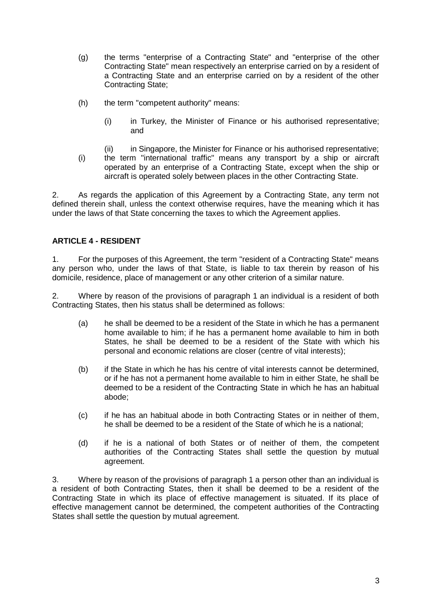- (g) the terms "enterprise of a Contracting State" and "enterprise of the other Contracting State" mean respectively an enterprise carried on by a resident of a Contracting State and an enterprise carried on by a resident of the other Contracting State;
- (h) the term "competent authority" means:
	- (i) in Turkey, the Minister of Finance or his authorised representative; and
	- (ii) in Singapore, the Minister for Finance or his authorised representative;
- (i) the term "international traffic" means any transport by a ship or aircraft operated by an enterprise of a Contracting State, except when the ship or aircraft is operated solely between places in the other Contracting State.

2. As regards the application of this Agreement by a Contracting State, any term not defined therein shall, unless the context otherwise requires, have the meaning which it has under the laws of that State concerning the taxes to which the Agreement applies.

# **ARTICLE 4 - RESIDENT**

1. For the purposes of this Agreement, the term "resident of a Contracting State" means any person who, under the laws of that State, is liable to tax therein by reason of his domicile, residence, place of management or any other criterion of a similar nature.

2. Where by reason of the provisions of paragraph 1 an individual is a resident of both Contracting States, then his status shall be determined as follows:

- (a) he shall be deemed to be a resident of the State in which he has a permanent home available to him; if he has a permanent home available to him in both States, he shall be deemed to be a resident of the State with which his personal and economic relations are closer (centre of vital interests);
- (b) if the State in which he has his centre of vital interests cannot be determined, or if he has not a permanent home available to him in either State, he shall be deemed to be a resident of the Contracting State in which he has an habitual abode;
- (c) if he has an habitual abode in both Contracting States or in neither of them, he shall be deemed to be a resident of the State of which he is a national;
- (d) if he is a national of both States or of neither of them, the competent authorities of the Contracting States shall settle the question by mutual agreement.

3. Where by reason of the provisions of paragraph 1 a person other than an individual is a resident of both Contracting States, then it shall be deemed to be a resident of the Contracting State in which its place of effective management is situated. If its place of effective management cannot be determined, the competent authorities of the Contracting States shall settle the question by mutual agreement.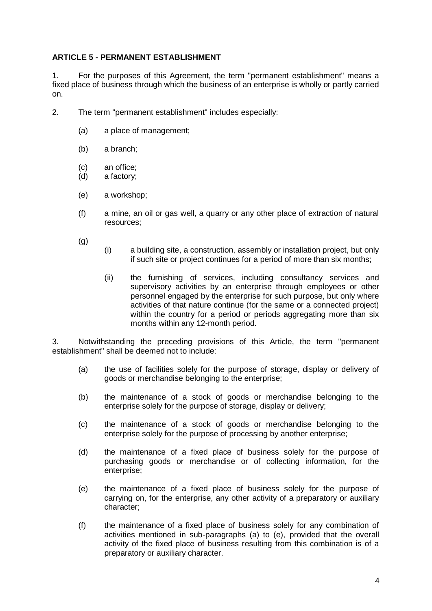#### **ARTICLE 5 - PERMANENT ESTABLISHMENT**

1. For the purposes of this Agreement, the term "permanent establishment" means a fixed place of business through which the business of an enterprise is wholly or partly carried on.

- 2. The term "permanent establishment" includes especially:
	- (a) a place of management;
	- (b) a branch;
	- (c) an office;
	- (d) a factory;
	- (e) a workshop;
	- (f) a mine, an oil or gas well, a quarry or any other place of extraction of natural resources;
	- (g)
		- (i) a building site, a construction, assembly or installation project, but only if such site or project continues for a period of more than six months;
			- (ii) the furnishing of services, including consultancy services and supervisory activities by an enterprise through employees or other personnel engaged by the enterprise for such purpose, but only where activities of that nature continue (for the same or a connected project) within the country for a period or periods aggregating more than six months within any 12-month period.

3. Notwithstanding the preceding provisions of this Article, the term "permanent establishment" shall be deemed not to include:

- (a) the use of facilities solely for the purpose of storage, display or delivery of goods or merchandise belonging to the enterprise;
- (b) the maintenance of a stock of goods or merchandise belonging to the enterprise solely for the purpose of storage, display or delivery;
- (c) the maintenance of a stock of goods or merchandise belonging to the enterprise solely for the purpose of processing by another enterprise;
- (d) the maintenance of a fixed place of business solely for the purpose of purchasing goods or merchandise or of collecting information, for the enterprise;
- (e) the maintenance of a fixed place of business solely for the purpose of carrying on, for the enterprise, any other activity of a preparatory or auxiliary character;
- (f) the maintenance of a fixed place of business solely for any combination of activities mentioned in sub-paragraphs (a) to (e), provided that the overall activity of the fixed place of business resulting from this combination is of a preparatory or auxiliary character.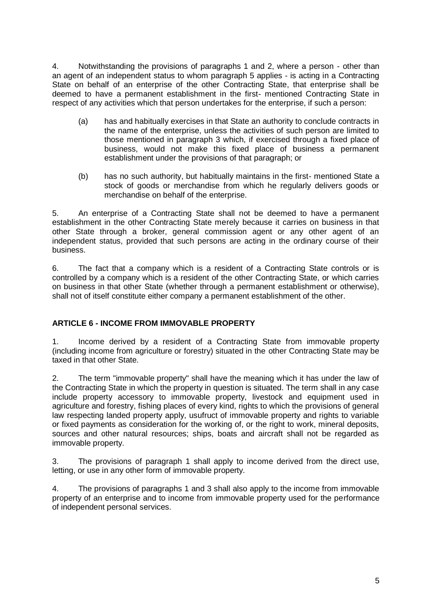4. Notwithstanding the provisions of paragraphs 1 and 2, where a person - other than an agent of an independent status to whom paragraph 5 applies - is acting in a Contracting State on behalf of an enterprise of the other Contracting State, that enterprise shall be deemed to have a permanent establishment in the first- mentioned Contracting State in respect of any activities which that person undertakes for the enterprise, if such a person:

- (a) has and habitually exercises in that State an authority to conclude contracts in the name of the enterprise, unless the activities of such person are limited to those mentioned in paragraph 3 which, if exercised through a fixed place of business, would not make this fixed place of business a permanent establishment under the provisions of that paragraph; or
- (b) has no such authority, but habitually maintains in the first- mentioned State a stock of goods or merchandise from which he regularly delivers goods or merchandise on behalf of the enterprise.

5. An enterprise of a Contracting State shall not be deemed to have a permanent establishment in the other Contracting State merely because it carries on business in that other State through a broker, general commission agent or any other agent of an independent status, provided that such persons are acting in the ordinary course of their business.

6. The fact that a company which is a resident of a Contracting State controls or is controlled by a company which is a resident of the other Contracting State, or which carries on business in that other State (whether through a permanent establishment or otherwise), shall not of itself constitute either company a permanent establishment of the other.

# **ARTICLE 6 - INCOME FROM IMMOVABLE PROPERTY**

1. Income derived by a resident of a Contracting State from immovable property (including income from agriculture or forestry) situated in the other Contracting State may be taxed in that other State.

2. The term "immovable property" shall have the meaning which it has under the law of the Contracting State in which the property in question is situated. The term shall in any case include property accessory to immovable property, livestock and equipment used in agriculture and forestry, fishing places of every kind, rights to which the provisions of general law respecting landed property apply, usufruct of immovable property and rights to variable or fixed payments as consideration for the working of, or the right to work, mineral deposits, sources and other natural resources; ships, boats and aircraft shall not be regarded as immovable property.

3. The provisions of paragraph 1 shall apply to income derived from the direct use, letting, or use in any other form of immovable property.

4. The provisions of paragraphs 1 and 3 shall also apply to the income from immovable property of an enterprise and to income from immovable property used for the performance of independent personal services.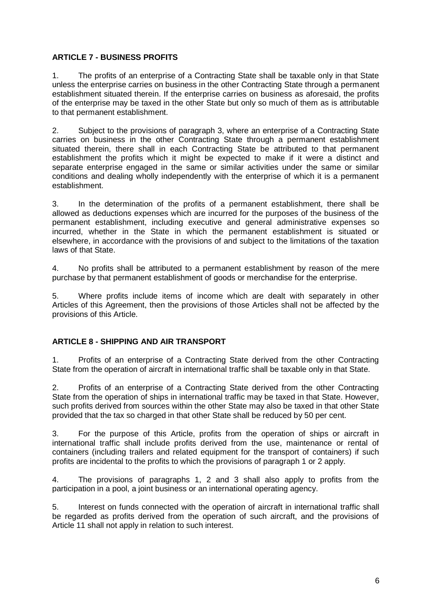#### **ARTICLE 7 - BUSINESS PROFITS**

1. The profits of an enterprise of a Contracting State shall be taxable only in that State unless the enterprise carries on business in the other Contracting State through a permanent establishment situated therein. If the enterprise carries on business as aforesaid, the profits of the enterprise may be taxed in the other State but only so much of them as is attributable to that permanent establishment.

2. Subject to the provisions of paragraph 3, where an enterprise of a Contracting State carries on business in the other Contracting State through a permanent establishment situated therein, there shall in each Contracting State be attributed to that permanent establishment the profits which it might be expected to make if it were a distinct and separate enterprise engaged in the same or similar activities under the same or similar conditions and dealing wholly independently with the enterprise of which it is a permanent establishment.

3. In the determination of the profits of a permanent establishment, there shall be allowed as deductions expenses which are incurred for the purposes of the business of the permanent establishment, including executive and general administrative expenses so incurred, whether in the State in which the permanent establishment is situated or elsewhere, in accordance with the provisions of and subject to the limitations of the taxation laws of that State.

4. No profits shall be attributed to a permanent establishment by reason of the mere purchase by that permanent establishment of goods or merchandise for the enterprise.

5. Where profits include items of income which are dealt with separately in other Articles of this Agreement, then the provisions of those Articles shall not be affected by the provisions of this Article.

# **ARTICLE 8 - SHIPPING AND AIR TRANSPORT**

1. Profits of an enterprise of a Contracting State derived from the other Contracting State from the operation of aircraft in international traffic shall be taxable only in that State.

2. Profits of an enterprise of a Contracting State derived from the other Contracting State from the operation of ships in international traffic may be taxed in that State. However, such profits derived from sources within the other State may also be taxed in that other State provided that the tax so charged in that other State shall be reduced by 50 per cent.

3. For the purpose of this Article, profits from the operation of ships or aircraft in international traffic shall include profits derived from the use, maintenance or rental of containers (including trailers and related equipment for the transport of containers) if such profits are incidental to the profits to which the provisions of paragraph 1 or 2 apply.

4. The provisions of paragraphs 1, 2 and 3 shall also apply to profits from the participation in a pool, a joint business or an international operating agency.

5. Interest on funds connected with the operation of aircraft in international traffic shall be regarded as profits derived from the operation of such aircraft, and the provisions of Article 11 shall not apply in relation to such interest.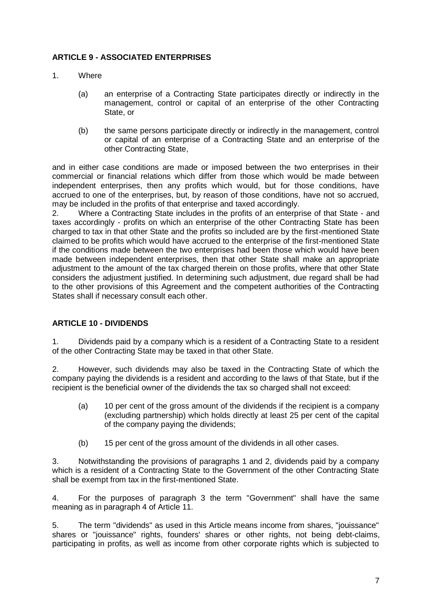# **ARTICLE 9 - ASSOCIATED ENTERPRISES**

- 1. Where
	- (a) an enterprise of a Contracting State participates directly or indirectly in the management, control or capital of an enterprise of the other Contracting State, or
	- (b) the same persons participate directly or indirectly in the management, control or capital of an enterprise of a Contracting State and an enterprise of the other Contracting State,

and in either case conditions are made or imposed between the two enterprises in their commercial or financial relations which differ from those which would be made between independent enterprises, then any profits which would, but for those conditions, have accrued to one of the enterprises, but, by reason of those conditions, have not so accrued, may be included in the profits of that enterprise and taxed accordingly.

2. Where a Contracting State includes in the profits of an enterprise of that State - and taxes accordingly - profits on which an enterprise of the other Contracting State has been charged to tax in that other State and the profits so included are by the first-mentioned State claimed to be profits which would have accrued to the enterprise of the first-mentioned State if the conditions made between the two enterprises had been those which would have been made between independent enterprises, then that other State shall make an appropriate adjustment to the amount of the tax charged therein on those profits, where that other State considers the adjustment justified. In determining such adjustment, due regard shall be had to the other provisions of this Agreement and the competent authorities of the Contracting States shall if necessary consult each other.

# **ARTICLE 10 - DIVIDENDS**

1. Dividends paid by a company which is a resident of a Contracting State to a resident of the other Contracting State may be taxed in that other State.

2. However, such dividends may also be taxed in the Contracting State of which the company paying the dividends is a resident and according to the laws of that State, but if the recipient is the beneficial owner of the dividends the tax so charged shall not exceed:

- (a) 10 per cent of the gross amount of the dividends if the recipient is a company (excluding partnership) which holds directly at least 25 per cent of the capital of the company paying the dividends;
- (b) 15 per cent of the gross amount of the dividends in all other cases.

3. Notwithstanding the provisions of paragraphs 1 and 2, dividends paid by a company which is a resident of a Contracting State to the Government of the other Contracting State shall be exempt from tax in the first-mentioned State.

4. For the purposes of paragraph 3 the term "Government" shall have the same meaning as in paragraph 4 of Article 11.

5. The term "dividends" as used in this Article means income from shares, "jouissance" shares or "jouissance" rights, founders' shares or other rights, not being debt-claims, participating in profits, as well as income from other corporate rights which is subjected to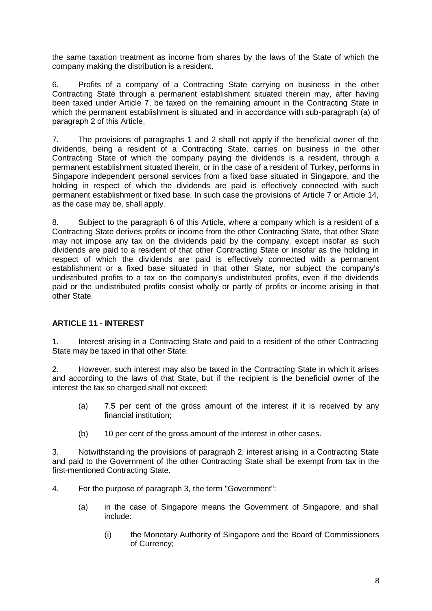the same taxation treatment as income from shares by the laws of the State of which the company making the distribution is a resident.

6. Profits of a company of a Contracting State carrying on business in the other Contracting State through a permanent establishment situated therein may, after having been taxed under Article 7, be taxed on the remaining amount in the Contracting State in which the permanent establishment is situated and in accordance with sub-paragraph (a) of paragraph 2 of this Article.

7. The provisions of paragraphs 1 and 2 shall not apply if the beneficial owner of the dividends, being a resident of a Contracting State, carries on business in the other Contracting State of which the company paying the dividends is a resident, through a permanent establishment situated therein, or in the case of a resident of Turkey, performs in Singapore independent personal services from a fixed base situated in Singapore, and the holding in respect of which the dividends are paid is effectively connected with such permanent establishment or fixed base. In such case the provisions of Article 7 or Article 14, as the case may be, shall apply.

8. Subject to the paragraph 6 of this Article, where a company which is a resident of a Contracting State derives profits or income from the other Contracting State, that other State may not impose any tax on the dividends paid by the company, except insofar as such dividends are paid to a resident of that other Contracting State or insofar as the holding in respect of which the dividends are paid is effectively connected with a permanent establishment or a fixed base situated in that other State, nor subject the company's undistributed profits to a tax on the company's undistributed profits, even if the dividends paid or the undistributed profits consist wholly or partly of profits or income arising in that other State.

# **ARTICLE 11 - INTEREST**

1. Interest arising in a Contracting State and paid to a resident of the other Contracting State may be taxed in that other State.

2. However, such interest may also be taxed in the Contracting State in which it arises and according to the laws of that State, but if the recipient is the beneficial owner of the interest the tax so charged shall not exceed:

- (a) 7.5 per cent of the gross amount of the interest if it is received by any financial institution;
- (b) 10 per cent of the gross amount of the interest in other cases.

3. Notwithstanding the provisions of paragraph 2, interest arising in a Contracting State and paid to the Government of the other Contracting State shall be exempt from tax in the first-mentioned Contracting State.

- 4. For the purpose of paragraph 3, the term "Government":
	- (a) in the case of Singapore means the Government of Singapore, and shall include:
		- (i) the Monetary Authority of Singapore and the Board of Commissioners of Currency;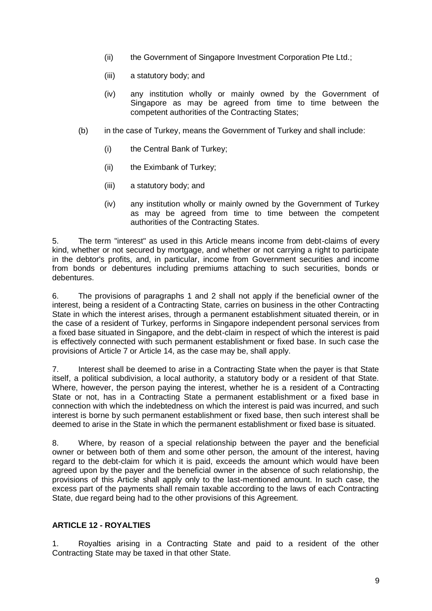- (ii) the Government of Singapore Investment Corporation Pte Ltd.;
- (iii) a statutory body; and
- (iv) any institution wholly or mainly owned by the Government of Singapore as may be agreed from time to time between the competent authorities of the Contracting States;
- (b) in the case of Turkey, means the Government of Turkey and shall include:
	- (i) the Central Bank of Turkey;
	- (ii) the Eximbank of Turkey;
	- (iii) a statutory body; and
	- (iv) any institution wholly or mainly owned by the Government of Turkey as may be agreed from time to time between the competent authorities of the Contracting States.

5. The term "interest" as used in this Article means income from debt-claims of every kind, whether or not secured by mortgage, and whether or not carrying a right to participate in the debtor's profits, and, in particular, income from Government securities and income from bonds or debentures including premiums attaching to such securities, bonds or debentures.

6. The provisions of paragraphs 1 and 2 shall not apply if the beneficial owner of the interest, being a resident of a Contracting State, carries on business in the other Contracting State in which the interest arises, through a permanent establishment situated therein, or in the case of a resident of Turkey, performs in Singapore independent personal services from a fixed base situated in Singapore, and the debt-claim in respect of which the interest is paid is effectively connected with such permanent establishment or fixed base. In such case the provisions of Article 7 or Article 14, as the case may be, shall apply.

7. Interest shall be deemed to arise in a Contracting State when the payer is that State itself, a political subdivision, a local authority, a statutory body or a resident of that State. Where, however, the person paying the interest, whether he is a resident of a Contracting State or not, has in a Contracting State a permanent establishment or a fixed base in connection with which the indebtedness on which the interest is paid was incurred, and such interest is borne by such permanent establishment or fixed base, then such interest shall be deemed to arise in the State in which the permanent establishment or fixed base is situated.

8. Where, by reason of a special relationship between the payer and the beneficial owner or between both of them and some other person, the amount of the interest, having regard to the debt-claim for which it is paid, exceeds the amount which would have been agreed upon by the payer and the beneficial owner in the absence of such relationship, the provisions of this Article shall apply only to the last-mentioned amount. In such case, the excess part of the payments shall remain taxable according to the laws of each Contracting State, due regard being had to the other provisions of this Agreement.

# **ARTICLE 12 - ROYALTIES**

1. Royalties arising in a Contracting State and paid to a resident of the other Contracting State may be taxed in that other State.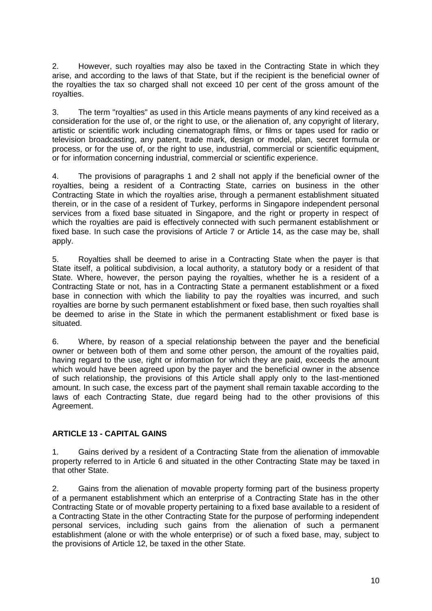2. However, such royalties may also be taxed in the Contracting State in which they arise, and according to the laws of that State, but if the recipient is the beneficial owner of the royalties the tax so charged shall not exceed 10 per cent of the gross amount of the royalties.

3. The term "royalties" as used in this Article means payments of any kind received as a consideration for the use of, or the right to use, or the alienation of, any copyright of literary, artistic or scientific work including cinematograph films, or films or tapes used for radio or television broadcasting, any patent, trade mark, design or model, plan, secret formula or process, or for the use of, or the right to use, industrial, commercial or scientific equipment, or for information concerning industrial, commercial or scientific experience.

4. The provisions of paragraphs 1 and 2 shall not apply if the beneficial owner of the royalties, being a resident of a Contracting State, carries on business in the other Contracting State in which the royalties arise, through a permanent establishment situated therein, or in the case of a resident of Turkey, performs in Singapore independent personal services from a fixed base situated in Singapore, and the right or property in respect of which the royalties are paid is effectively connected with such permanent establishment or fixed base. In such case the provisions of Article 7 or Article 14, as the case may be, shall apply.

5. Royalties shall be deemed to arise in a Contracting State when the payer is that State itself, a political subdivision, a local authority, a statutory body or a resident of that State. Where, however, the person paying the royalties, whether he is a resident of a Contracting State or not, has in a Contracting State a permanent establishment or a fixed base in connection with which the liability to pay the royalties was incurred, and such royalties are borne by such permanent establishment or fixed base, then such royalties shall be deemed to arise in the State in which the permanent establishment or fixed base is situated.

6. Where, by reason of a special relationship between the payer and the beneficial owner or between both of them and some other person, the amount of the royalties paid, having regard to the use, right or information for which they are paid, exceeds the amount which would have been agreed upon by the payer and the beneficial owner in the absence of such relationship, the provisions of this Article shall apply only to the last-mentioned amount. In such case, the excess part of the payment shall remain taxable according to the laws of each Contracting State, due regard being had to the other provisions of this Agreement.

# **ARTICLE 13 - CAPITAL GAINS**

1. Gains derived by a resident of a Contracting State from the alienation of immovable property referred to in Article 6 and situated in the other Contracting State may be taxed in that other State.

2. Gains from the alienation of movable property forming part of the business property of a permanent establishment which an enterprise of a Contracting State has in the other Contracting State or of movable property pertaining to a fixed base available to a resident of a Contracting State in the other Contracting State for the purpose of performing independent personal services, including such gains from the alienation of such a permanent establishment (alone or with the whole enterprise) or of such a fixed base, may, subject to the provisions of Article 12, be taxed in the other State.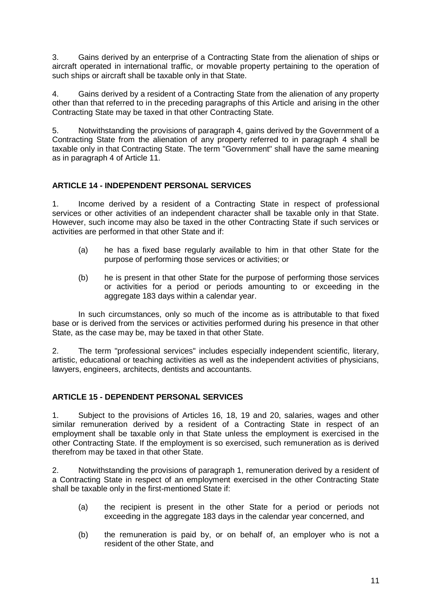3. Gains derived by an enterprise of a Contracting State from the alienation of ships or aircraft operated in international traffic, or movable property pertaining to the operation of such ships or aircraft shall be taxable only in that State.

4. Gains derived by a resident of a Contracting State from the alienation of any property other than that referred to in the preceding paragraphs of this Article and arising in the other Contracting State may be taxed in that other Contracting State.

5. Notwithstanding the provisions of paragraph 4, gains derived by the Government of a Contracting State from the alienation of any property referred to in paragraph 4 shall be taxable only in that Contracting State. The term "Government" shall have the same meaning as in paragraph 4 of Article 11.

# **ARTICLE 14 - INDEPENDENT PERSONAL SERVICES**

1. Income derived by a resident of a Contracting State in respect of professional services or other activities of an independent character shall be taxable only in that State. However, such income may also be taxed in the other Contracting State if such services or activities are performed in that other State and if:

- (a) he has a fixed base regularly available to him in that other State for the purpose of performing those services or activities; or
- (b) he is present in that other State for the purpose of performing those services or activities for a period or periods amounting to or exceeding in the aggregate 183 days within a calendar year.

In such circumstances, only so much of the income as is attributable to that fixed base or is derived from the services or activities performed during his presence in that other State, as the case may be, may be taxed in that other State.

2. The term "professional services" includes especially independent scientific, literary, artistic, educational or teaching activities as well as the independent activities of physicians, lawyers, engineers, architects, dentists and accountants.

# **ARTICLE 15 - DEPENDENT PERSONAL SERVICES**

1. Subject to the provisions of Articles 16, 18, 19 and 20, salaries, wages and other similar remuneration derived by a resident of a Contracting State in respect of an employment shall be taxable only in that State unless the employment is exercised in the other Contracting State. If the employment is so exercised, such remuneration as is derived therefrom may be taxed in that other State.

2. Notwithstanding the provisions of paragraph 1, remuneration derived by a resident of a Contracting State in respect of an employment exercised in the other Contracting State shall be taxable only in the first-mentioned State if:

- (a) the recipient is present in the other State for a period or periods not exceeding in the aggregate 183 days in the calendar year concerned, and
- (b) the remuneration is paid by, or on behalf of, an employer who is not a resident of the other State, and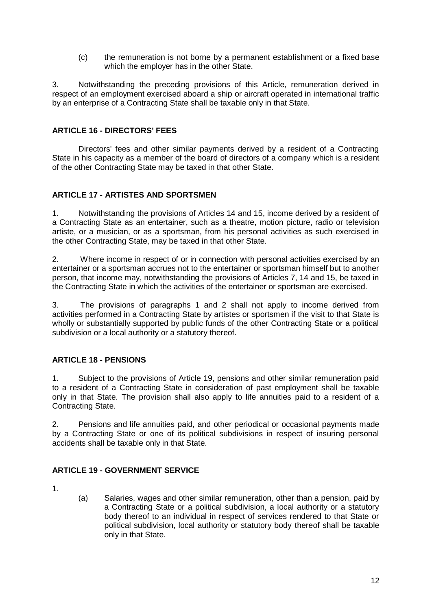(c) the remuneration is not borne by a permanent establishment or a fixed base which the employer has in the other State.

3. Notwithstanding the preceding provisions of this Article, remuneration derived in respect of an employment exercised aboard a ship or aircraft operated in international traffic by an enterprise of a Contracting State shall be taxable only in that State.

#### **ARTICLE 16 - DIRECTORS' FEES**

Directors' fees and other similar payments derived by a resident of a Contracting State in his capacity as a member of the board of directors of a company which is a resident of the other Contracting State may be taxed in that other State.

#### **ARTICLE 17 - ARTISTES AND SPORTSMEN**

1. Notwithstanding the provisions of Articles 14 and 15, income derived by a resident of a Contracting State as an entertainer, such as a theatre, motion picture, radio or television artiste, or a musician, or as a sportsman, from his personal activities as such exercised in the other Contracting State, may be taxed in that other State.

2. Where income in respect of or in connection with personal activities exercised by an entertainer or a sportsman accrues not to the entertainer or sportsman himself but to another person, that income may, notwithstanding the provisions of Articles 7, 14 and 15, be taxed in the Contracting State in which the activities of the entertainer or sportsman are exercised.

3. The provisions of paragraphs 1 and 2 shall not apply to income derived from activities performed in a Contracting State by artistes or sportsmen if the visit to that State is wholly or substantially supported by public funds of the other Contracting State or a political subdivision or a local authority or a statutory thereof.

# **ARTICLE 18 - PENSIONS**

1. Subject to the provisions of Article 19, pensions and other similar remuneration paid to a resident of a Contracting State in consideration of past employment shall be taxable only in that State. The provision shall also apply to life annuities paid to a resident of a Contracting State.

2. Pensions and life annuities paid, and other periodical or occasional payments made by a Contracting State or one of its political subdivisions in respect of insuring personal accidents shall be taxable only in that State.

# **ARTICLE 19 - GOVERNMENT SERVICE**

- 1.
- (a) Salaries, wages and other similar remuneration, other than a pension, paid by a Contracting State or a political subdivision, a local authority or a statutory body thereof to an individual in respect of services rendered to that State or political subdivision, local authority or statutory body thereof shall be taxable only in that State.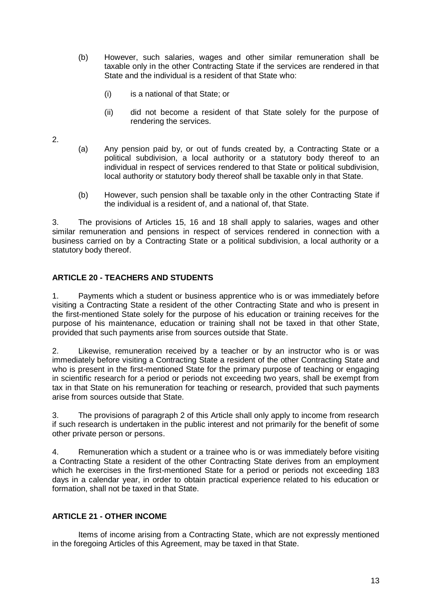- (b) However, such salaries, wages and other similar remuneration shall be taxable only in the other Contracting State if the services are rendered in that State and the individual is a resident of that State who:
	- (i) is a national of that State; or
	- (ii) did not become a resident of that State solely for the purpose of rendering the services.
- 2.
- (a) Any pension paid by, or out of funds created by, a Contracting State or a political subdivision, a local authority or a statutory body thereof to an individual in respect of services rendered to that State or political subdivision, local authority or statutory body thereof shall be taxable only in that State.
- (b) However, such pension shall be taxable only in the other Contracting State if the individual is a resident of, and a national of, that State.

3. The provisions of Articles 15, 16 and 18 shall apply to salaries, wages and other similar remuneration and pensions in respect of services rendered in connection with a business carried on by a Contracting State or a political subdivision, a local authority or a statutory body thereof.

# **ARTICLE 20 - TEACHERS AND STUDENTS**

1. Payments which a student or business apprentice who is or was immediately before visiting a Contracting State a resident of the other Contracting State and who is present in the first-mentioned State solely for the purpose of his education or training receives for the purpose of his maintenance, education or training shall not be taxed in that other State, provided that such payments arise from sources outside that State.

2. Likewise, remuneration received by a teacher or by an instructor who is or was immediately before visiting a Contracting State a resident of the other Contracting State and who is present in the first-mentioned State for the primary purpose of teaching or engaging in scientific research for a period or periods not exceeding two years, shall be exempt from tax in that State on his remuneration for teaching or research, provided that such payments arise from sources outside that State.

3. The provisions of paragraph 2 of this Article shall only apply to income from research if such research is undertaken in the public interest and not primarily for the benefit of some other private person or persons.

4. Remuneration which a student or a trainee who is or was immediately before visiting a Contracting State a resident of the other Contracting State derives from an employment which he exercises in the first-mentioned State for a period or periods not exceeding 183 days in a calendar year, in order to obtain practical experience related to his education or formation, shall not be taxed in that State.

# **ARTICLE 21 - OTHER INCOME**

Items of income arising from a Contracting State, which are not expressly mentioned in the foregoing Articles of this Agreement, may be taxed in that State.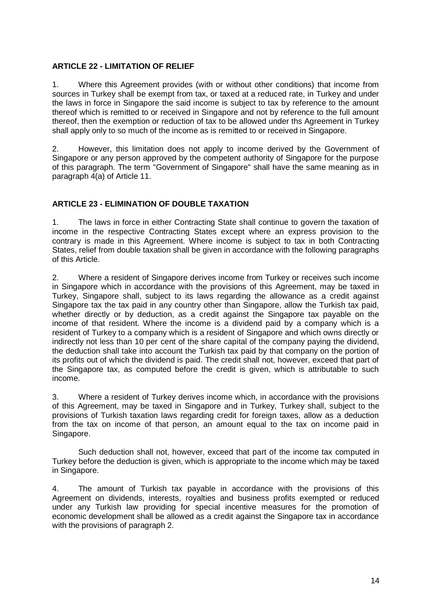# **ARTICLE 22 - LIMITATION OF RELIEF**

1. Where this Agreement provides (with or without other conditions) that income from sources in Turkey shall be exempt from tax, or taxed at a reduced rate, in Turkey and under the laws in force in Singapore the said income is subject to tax by reference to the amount thereof which is remitted to or received in Singapore and not by reference to the full amount thereof, then the exemption or reduction of tax to be allowed under ths Agreement in Turkey shall apply only to so much of the income as is remitted to or received in Singapore.

2. However, this limitation does not apply to income derived by the Government of Singapore or any person approved by the competent authority of Singapore for the purpose of this paragraph. The term "Government of Singapore" shall have the same meaning as in paragraph 4(a) of Article 11.

#### **ARTICLE 23 - ELIMINATION OF DOUBLE TAXATION**

1. The laws in force in either Contracting State shall continue to govern the taxation of income in the respective Contracting States except where an express provision to the contrary is made in this Agreement. Where income is subject to tax in both Contracting States, relief from double taxation shall be given in accordance with the following paragraphs of this Article.

2. Where a resident of Singapore derives income from Turkey or receives such income in Singapore which in accordance with the provisions of this Agreement, may be taxed in Turkey, Singapore shall, subject to its laws regarding the allowance as a credit against Singapore tax the tax paid in any country other than Singapore, allow the Turkish tax paid, whether directly or by deduction, as a credit against the Singapore tax payable on the income of that resident. Where the income is a dividend paid by a company which is a resident of Turkey to a company which is a resident of Singapore and which owns directly or indirectly not less than 10 per cent of the share capital of the company paying the dividend, the deduction shall take into account the Turkish tax paid by that company on the portion of its profits out of which the dividend is paid. The credit shall not, however, exceed that part of the Singapore tax, as computed before the credit is given, which is attributable to such income.

3. Where a resident of Turkey derives income which, in accordance with the provisions of this Agreement, may be taxed in Singapore and in Turkey, Turkey shall, subject to the provisions of Turkish taxation laws regarding credit for foreign taxes, allow as a deduction from the tax on income of that person, an amount equal to the tax on income paid in Singapore.

Such deduction shall not, however, exceed that part of the income tax computed in Turkey before the deduction is given, which is appropriate to the income which may be taxed in Singapore.

4. The amount of Turkish tax payable in accordance with the provisions of this Agreement on dividends, interests, royalties and business profits exempted or reduced under any Turkish law providing for special incentive measures for the promotion of economic development shall be allowed as a credit against the Singapore tax in accordance with the provisions of paragraph 2.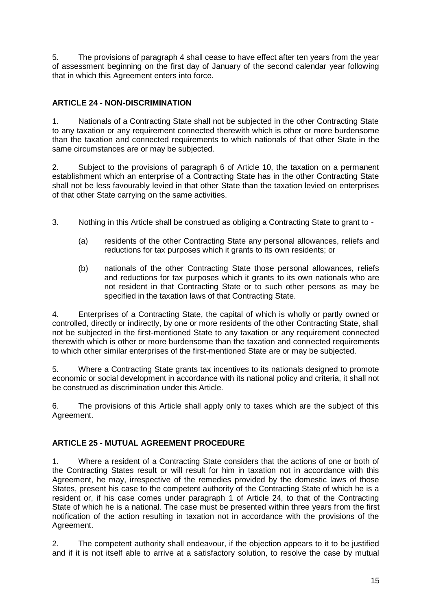5. The provisions of paragraph 4 shall cease to have effect after ten years from the year of assessment beginning on the first day of January of the second calendar year following that in which this Agreement enters into force.

# **ARTICLE 24 - NON-DISCRIMINATION**

1. Nationals of a Contracting State shall not be subjected in the other Contracting State to any taxation or any requirement connected therewith which is other or more burdensome than the taxation and connected requirements to which nationals of that other State in the same circumstances are or may be subjected.

2. Subject to the provisions of paragraph 6 of Article 10, the taxation on a permanent establishment which an enterprise of a Contracting State has in the other Contracting State shall not be less favourably levied in that other State than the taxation levied on enterprises of that other State carrying on the same activities.

- 3. Nothing in this Article shall be construed as obliging a Contracting State to grant to
	- (a) residents of the other Contracting State any personal allowances, reliefs and reductions for tax purposes which it grants to its own residents; or
	- (b) nationals of the other Contracting State those personal allowances, reliefs and reductions for tax purposes which it grants to its own nationals who are not resident in that Contracting State or to such other persons as may be specified in the taxation laws of that Contracting State.

4. Enterprises of a Contracting State, the capital of which is wholly or partly owned or controlled, directly or indirectly, by one or more residents of the other Contracting State, shall not be subjected in the first-mentioned State to any taxation or any requirement connected therewith which is other or more burdensome than the taxation and connected requirements to which other similar enterprises of the first-mentioned State are or may be subjected.

5. Where a Contracting State grants tax incentives to its nationals designed to promote economic or social development in accordance with its national policy and criteria, it shall not be construed as discrimination under this Article.

6. The provisions of this Article shall apply only to taxes which are the subject of this Agreement.

# **ARTICLE 25 - MUTUAL AGREEMENT PROCEDURE**

1. Where a resident of a Contracting State considers that the actions of one or both of the Contracting States result or will result for him in taxation not in accordance with this Agreement, he may, irrespective of the remedies provided by the domestic laws of those States, present his case to the competent authority of the Contracting State of which he is a resident or, if his case comes under paragraph 1 of Article 24, to that of the Contracting State of which he is a national. The case must be presented within three years from the first notification of the action resulting in taxation not in accordance with the provisions of the Agreement.

2. The competent authority shall endeavour, if the objection appears to it to be justified and if it is not itself able to arrive at a satisfactory solution, to resolve the case by mutual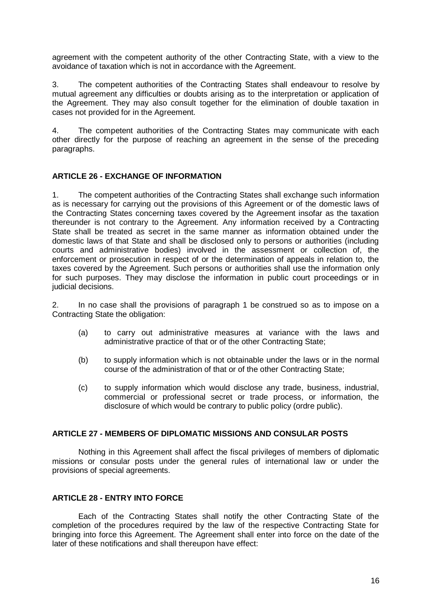agreement with the competent authority of the other Contracting State, with a view to the avoidance of taxation which is not in accordance with the Agreement.

3. The competent authorities of the Contracting States shall endeavour to resolve by mutual agreement any difficulties or doubts arising as to the interpretation or application of the Agreement. They may also consult together for the elimination of double taxation in cases not provided for in the Agreement.

4. The competent authorities of the Contracting States may communicate with each other directly for the purpose of reaching an agreement in the sense of the preceding paragraphs.

#### **ARTICLE 26 - EXCHANGE OF INFORMATION**

1. The competent authorities of the Contracting States shall exchange such information as is necessary for carrying out the provisions of this Agreement or of the domestic laws of the Contracting States concerning taxes covered by the Agreement insofar as the taxation thereunder is not contrary to the Agreement. Any information received by a Contracting State shall be treated as secret in the same manner as information obtained under the domestic laws of that State and shall be disclosed only to persons or authorities (including courts and administrative bodies) involved in the assessment or collection of, the enforcement or prosecution in respect of or the determination of appeals in relation to, the taxes covered by the Agreement. Such persons or authorities shall use the information only for such purposes. They may disclose the information in public court proceedings or in judicial decisions.

2. In no case shall the provisions of paragraph 1 be construed so as to impose on a Contracting State the obligation:

- (a) to carry out administrative measures at variance with the laws and administrative practice of that or of the other Contracting State;
- (b) to supply information which is not obtainable under the laws or in the normal course of the administration of that or of the other Contracting State;
- (c) to supply information which would disclose any trade, business, industrial, commercial or professional secret or trade process, or information, the disclosure of which would be contrary to public policy (ordre public).

#### **ARTICLE 27 - MEMBERS OF DIPLOMATIC MISSIONS AND CONSULAR POSTS**

Nothing in this Agreement shall affect the fiscal privileges of members of diplomatic missions or consular posts under the general rules of international law or under the provisions of special agreements.

#### **ARTICLE 28 - ENTRY INTO FORCE**

Each of the Contracting States shall notify the other Contracting State of the completion of the procedures required by the law of the respective Contracting State for bringing into force this Agreement. The Agreement shall enter into force on the date of the later of these notifications and shall thereupon have effect: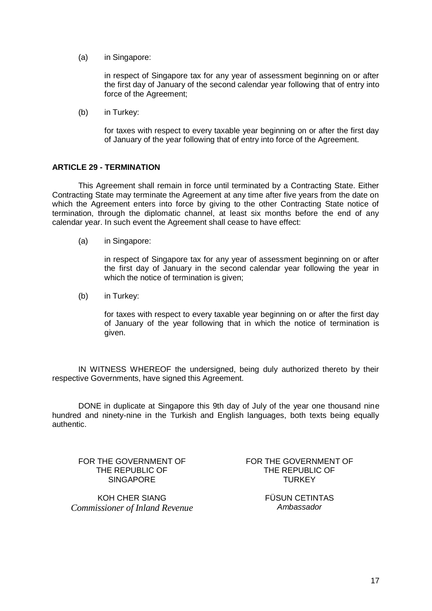(a) in Singapore:

in respect of Singapore tax for any year of assessment beginning on or after the first day of January of the second calendar year following that of entry into force of the Agreement;

(b) in Turkey:

for taxes with respect to every taxable year beginning on or after the first day of January of the year following that of entry into force of the Agreement.

#### **ARTICLE 29 - TERMINATION**

This Agreement shall remain in force until terminated by a Contracting State. Either Contracting State may terminate the Agreement at any time after five years from the date on which the Agreement enters into force by giving to the other Contracting State notice of termination, through the diplomatic channel, at least six months before the end of any calendar year. In such event the Agreement shall cease to have effect:

(a) in Singapore:

in respect of Singapore tax for any year of assessment beginning on or after the first day of January in the second calendar year following the year in which the notice of termination is given;

(b) in Turkey:

for taxes with respect to every taxable year beginning on or after the first day of January of the year following that in which the notice of termination is given.

IN WITNESS WHEREOF the undersigned, being duly authorized thereto by their respective Governments, have signed this Agreement.

DONE in duplicate at Singapore this 9th day of July of the year one thousand nine hundred and ninety-nine in the Turkish and English languages, both texts being equally authentic.

FOR THE GOVERNMENT OF THE REPUBLIC OF **SINGAPORE** 

KOH CHER SIANG *Commissioner of Inland Revenue* FOR THE GOVERNMENT OF THE REPUBLIC OF **TURKEY** 

> FÜSUN CETINTAS *Ambassador*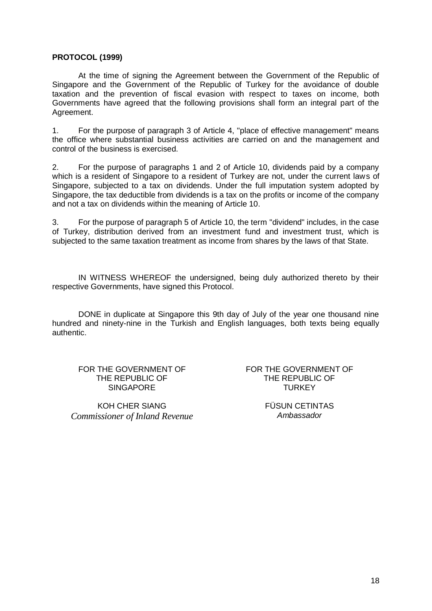#### **PROTOCOL (1999)**

At the time of signing the Agreement between the Government of the Republic of Singapore and the Government of the Republic of Turkey for the avoidance of double taxation and the prevention of fiscal evasion with respect to taxes on income, both Governments have agreed that the following provisions shall form an integral part of the Agreement.

1. For the purpose of paragraph 3 of Article 4, "place of effective management" means the office where substantial business activities are carried on and the management and control of the business is exercised.

2. For the purpose of paragraphs 1 and 2 of Article 10, dividends paid by a company which is a resident of Singapore to a resident of Turkey are not, under the current laws of Singapore, subjected to a tax on dividends. Under the full imputation system adopted by Singapore, the tax deductible from dividends is a tax on the profits or income of the company and not a tax on dividends within the meaning of Article 10.

3. For the purpose of paragraph 5 of Article 10, the term "dividend" includes, in the case of Turkey, distribution derived from an investment fund and investment trust, which is subjected to the same taxation treatment as income from shares by the laws of that State.

IN WITNESS WHEREOF the undersigned, being duly authorized thereto by their respective Governments, have signed this Protocol.

DONE in duplicate at Singapore this 9th day of July of the year one thousand nine hundred and ninety-nine in the Turkish and English languages, both texts being equally authentic.

FOR THE GOVERNMENT OF THE REPUBLIC OF **SINGAPORF** 

KOH CHER SIANG *Commissioner of Inland Revenue* FOR THE GOVERNMENT OF THE REPUBLIC OF **TURKEY** 

> FÜSUN CETINTAS *Ambassador*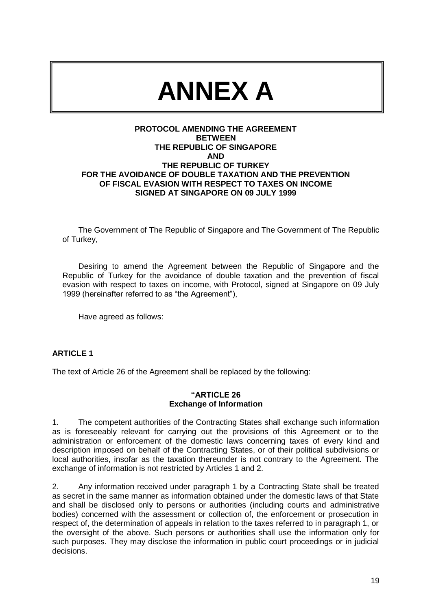# **ANNEX A**

#### **PROTOCOL AMENDING THE AGREEMENT BETWEEN THE REPUBLIC OF SINGAPORE AND THE REPUBLIC OF TURKEY FOR THE AVOIDANCE OF DOUBLE TAXATION AND THE PREVENTION OF FISCAL EVASION WITH RESPECT TO TAXES ON INCOME SIGNED AT SINGAPORE ON 09 JULY 1999**

The Government of The Republic of Singapore and The Government of The Republic of Turkey,

Desiring to amend the Agreement between the Republic of Singapore and the Republic of Turkey for the avoidance of double taxation and the prevention of fiscal evasion with respect to taxes on income, with Protocol, signed at Singapore on 09 July 1999 (hereinafter referred to as "the Agreement"),

Have agreed as follows:

#### **ARTICLE 1**

The text of Article 26 of the Agreement shall be replaced by the following:

#### **"ARTICLE 26 Exchange of Information**

1. The competent authorities of the Contracting States shall exchange such information as is foreseeably relevant for carrying out the provisions of this Agreement or to the administration or enforcement of the domestic laws concerning taxes of every kind and description imposed on behalf of the Contracting States, or of their political subdivisions or local authorities, insofar as the taxation thereunder is not contrary to the Agreement. The exchange of information is not restricted by Articles 1 and 2.

2. Any information received under paragraph 1 by a Contracting State shall be treated as secret in the same manner as information obtained under the domestic laws of that State and shall be disclosed only to persons or authorities (including courts and administrative bodies) concerned with the assessment or collection of, the enforcement or prosecution in respect of, the determination of appeals in relation to the taxes referred to in paragraph 1, or the oversight of the above. Such persons or authorities shall use the information only for such purposes. They may disclose the information in public court proceedings or in judicial decisions.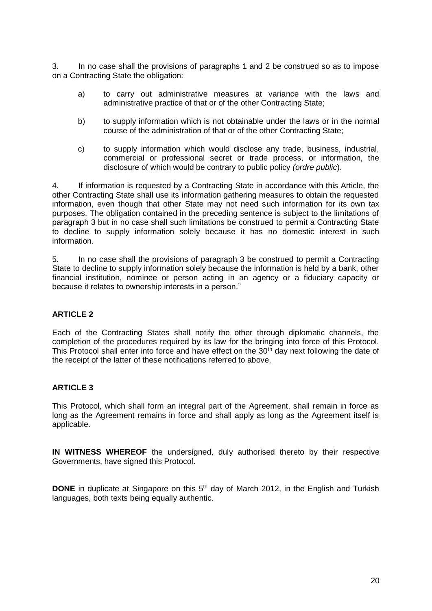3. In no case shall the provisions of paragraphs 1 and 2 be construed so as to impose on a Contracting State the obligation:

- a) to carry out administrative measures at variance with the laws and administrative practice of that or of the other Contracting State;
- b) to supply information which is not obtainable under the laws or in the normal course of the administration of that or of the other Contracting State;
- c) to supply information which would disclose any trade, business, industrial, commercial or professional secret or trade process, or information, the disclosure of which would be contrary to public policy *(ordre public*).

4. If information is requested by a Contracting State in accordance with this Article, the other Contracting State shall use its information gathering measures to obtain the requested information, even though that other State may not need such information for its own tax purposes. The obligation contained in the preceding sentence is subject to the limitations of paragraph 3 but in no case shall such limitations be construed to permit a Contracting State to decline to supply information solely because it has no domestic interest in such information.

5. In no case shall the provisions of paragraph 3 be construed to permit a Contracting State to decline to supply information solely because the information is held by a bank, other financial institution, nominee or person acting in an agency or a fiduciary capacity or because it relates to ownership interests in a person."

# **ARTICLE 2**

Each of the Contracting States shall notify the other through diplomatic channels, the completion of the procedures required by its law for the bringing into force of this Protocol. This Protocol shall enter into force and have effect on the 30<sup>th</sup> day next following the date of the receipt of the latter of these notifications referred to above.

# **ARTICLE 3**

This Protocol, which shall form an integral part of the Agreement, shall remain in force as long as the Agreement remains in force and shall apply as long as the Agreement itself is applicable.

**IN WITNESS WHEREOF** the undersigned, duly authorised thereto by their respective Governments, have signed this Protocol.

**DONE** in duplicate at Singapore on this 5<sup>th</sup> day of March 2012, in the English and Turkish languages, both texts being equally authentic.